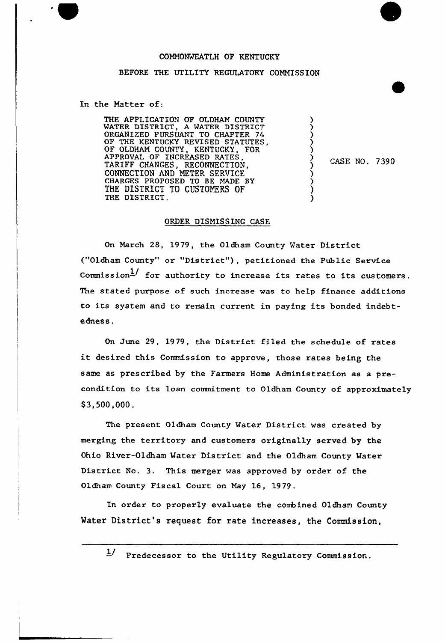## COMMONWEATLH OF KENTUCKY

## BEFORE THE UTILITY REGULATORY COMMISSION

In the Matter of:

THE APPLICATION OF OLDHAM COUNTY WATER DISTRICT, A WATER DISTRICT ORGANIZED PURSUANT TO CHAPTER 74 OF THE KENTUCKY REVISED STATUTES, OF OLDHAM COUNTY, KENTUCKY, FOR APPROVAL OF INCREASED RATES, TARIFF CHANGES, RECONNECTION, CONNECTION AND METER SERVICE CHARGES PROPOSED TO BE MADE BY THE DISTRICT TO CUSTOMERS OF THE DISTRICT.

CASE NO. 7390

) ) ) <u>ز</u> ز<br>>

)

) ز<br>> ) )

#### ORDER DISMISSING CASE

On March 28, 1979, the Oldham County Water District ("Oldham County" or "District" ), petitioned the Public Service Commission $^{1\prime}$  for authority to increase its rates to its customers The stated purpose of such increase was to help finance additions to its system and to remain current in paying its bonded indebtedness.

On June 29, 1979, the District filed the schedule of rates it desired this Commission to approve, those rates being the same as prescribed by the Farmers Home Administration as a precondition to its loan commitment to Oldham County of approximately \$3,500,000.

The present Oldham County Water District was created by merging the territory and customers originally served by the Ohio River-Oldham Water District and the Oldham County Water District No. 3. This merger was approved by order of the Oldham County Fiscal Court on May 16, 1979.

In order to properly evaluate the combined Oldham County Water District'8 request for rate increases, the Commission,

 $1/$  Predecessor to the Utility Regulatory Commission.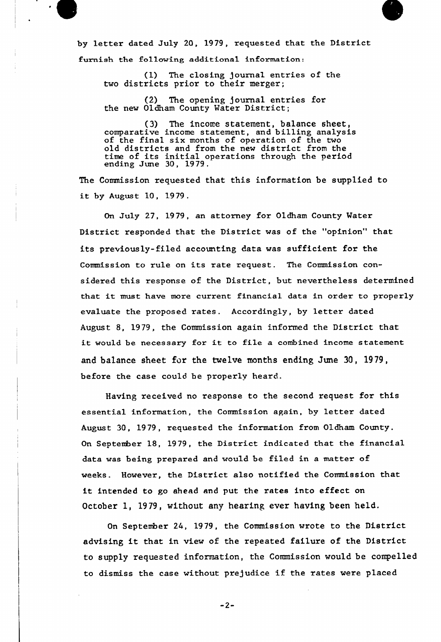by letter dated July 20, 1979, requested that the District furnish the following additional information:

(1) The closing Journal entries of the two districts prior to their merger;

(2) The opening Journal entries for the new Oldham County Water District;

(3) The income statement, balance sheet comparative income statement, and billing analysi of the final six months of operation of the two old districts and from the new district from the old districts and from the new district from the<br>time of its initial operations through the period ending June 30, 1979 .

The Commission requested that this information be supplied to it by August 10, 1979.

On July 27, 1979, an attorney for Oldham County Water District responded that the District was of the "opinion" that its previously-filed accounting data was sufficient for the Commission to rule on its rate request. The Commission considered this response of the District, but nevertheless determined that it must have more current financial data in order to properly evaluate the proposed rates. Accordingly, by letter dated August 8, 19?9, the Commission again informed the District that it would be necessary for it to file <sup>a</sup> combined income statement and balance sheet for the twelve months ending June 30, 1979, before the case could be properly heard.

Having received no response to the second request for this essential information, the Commission again, by letter dated August 30, 1979, requested the information from Oldham County. On September 18, 1979, the District indicated that the financial data was being prepared and would be filed in a matter of weeks. However, the District also notified the Commission that it intended to go ahead and put the rates into effect on October 1, 1979, without any hearing ever having been held.

On September 24, 1979, the Commission wrote to the District advising it that in view of the repeated failure of the District to supply requested information, the Commission would be compelled to dismiss the case without pre]udice if the rates were placed

-2-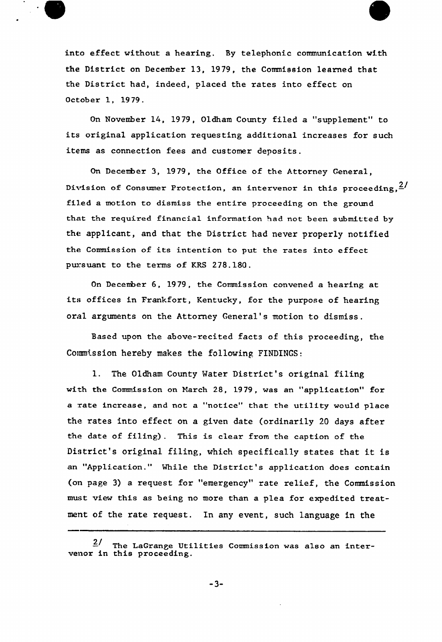

On November 14, 1979, Oldham County filed a "supplement" to its original application requesting additional increases for such items as connection fees and customer deposits.

On December 3, 1979, the Office of the Attorney General, Division of Consumer Protection, an intervenor in this proceeding,  $\frac{2}{s}$ filed a motion to dismiss the entire proceeding on the ground that the required financial information had not been submitted by the applicant, and that the District had never properly notified the Commission of its intention to put the rates into effect pursuant to the terms of KRS 278.180.

On December 6, 1979, the Commission convened a hearing at its offices in Frankfort, Kentucky, for the purpose of hearing oral arguments on the Attorney General's motion to dismiss.

Eased upon the above-recited facts of this proceeding, the Commission hereby makes the following FINDINGS:

l. The Oldham County Water District's original filing with the Commission on March 28, 1979, was an "application" for a rate increase, and not a "notice" that the utility would place the rates into effect on a given date (ordinarily 20 days after the date of filing). This is clear from the caption of the District's original filing, which specifically states that it is an "Application." While the District's application does contain (on page 3) a request for "emergency" rate relief, the Commission must view this as being no more than a plea for expedited treatment of the rate request. In any event, such language in the

 $-3-$ 

The LaGrange Utilities Commission was also an intervenor in this proceeding.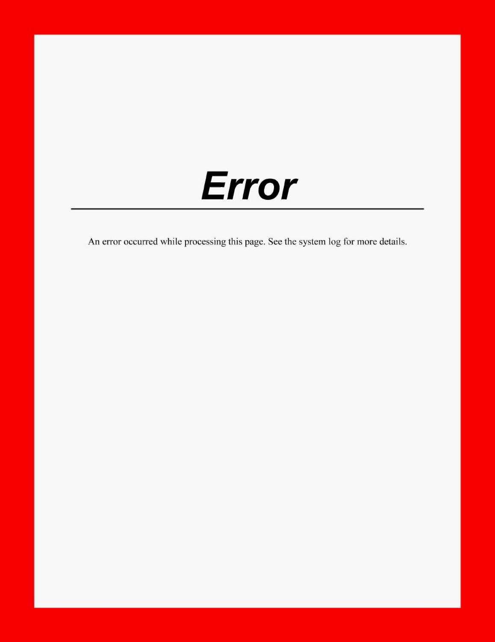# Error

An error occurred while processing this page. See the system log for more details.